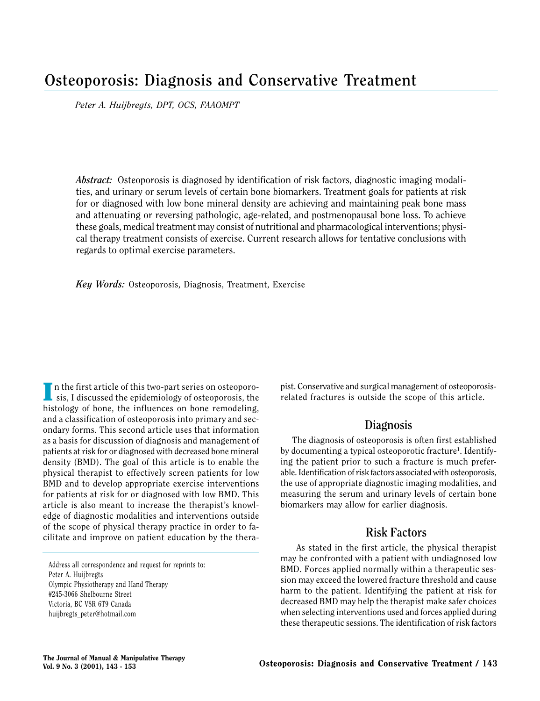# **Osteoporosis: Diagnosis and Conservative Treatment**

*Peter A. Huijbregts, DPT, OCS, FAAOMPT*

*Abstract:* Osteoporosis is diagnosed by identification of risk factors, diagnostic imaging modalities, and urinary or serum levels of certain bone biomarkers. Treatment goals for patients at risk for or diagnosed with low bone mineral density are achieving and maintaining peak bone mass and attenuating or reversing pathologic, age-related, and postmenopausal bone loss. To achieve these goals, medical treatment may consist of nutritional and pharmacological interventions; physical therapy treatment consists of exercise. Current research allows for tentative conclusions with regards to optimal exercise parameters.

*Key Words:* Osteoporosis, Diagnosis, Treatment, Exercise

In the first article of this two-part series on osteoporo-<br>sis, I discussed the epidemiology of osteoporosis, the histology of bone, the influences on bone remodeling, and a classification of osteoporosis into primary and secondary forms. This second article uses that information as a basis for discussion of diagnosis and management of patients at risk for or diagnosed with decreased bone mineral density (BMD). The goal of this article is to enable the physical therapist to effectively screen patients for low BMD and to develop appropriate exercise interventions for patients at risk for or diagnosed with low BMD. This article is also meant to increase the therapist's knowledge of diagnostic modalities and interventions outside of the scope of physical therapy practice in order to facilitate and improve on patient education by the thera-

Address all correspondence and request for reprints to: Peter A. Huijbregts Olympic Physiotherapy and Hand Therapy #245-3066 Shelbourne Street Victoria, BC V8R 6T9 Canada huijbregts\_peter@hotmail.com

pist. Conservative and surgical management of osteoporosisrelated fractures is outside the scope of this article.

#### **Diagnosis**

 The diagnosis of osteoporosis is often first established by documenting a typical osteoporotic fracture<sup>1</sup>. Identifying the patient prior to such a fracture is much preferable. Identification of risk factors associated with osteoporosis, the use of appropriate diagnostic imaging modalities, and measuring the serum and urinary levels of certain bone biomarkers may allow for earlier diagnosis.

# **Risk Factors**

 As stated in the first article, the physical therapist may be confronted with a patient with undiagnosed low BMD. Forces applied normally within a therapeutic session may exceed the lowered fracture threshold and cause harm to the patient. Identifying the patient at risk for decreased BMD may help the therapist make safer choices when selecting interventions used and forces applied during these therapeutic sessions. The identification of risk factors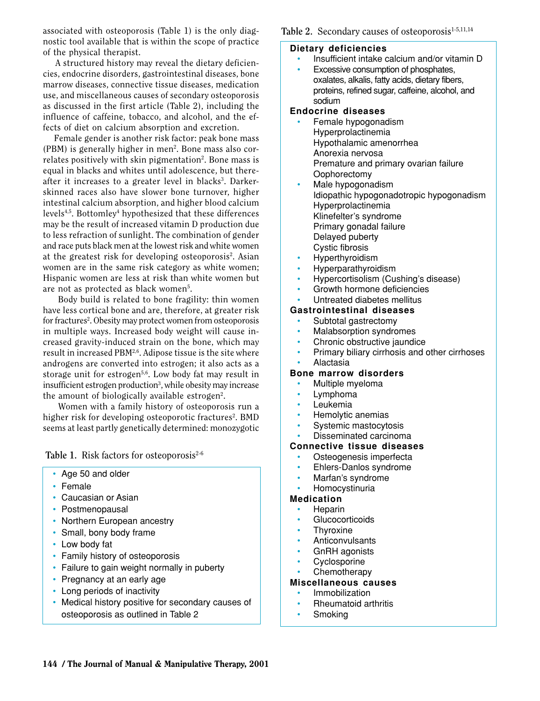associated with osteoporosis (Table 1) is the only diagnostic tool available that is within the scope of practice of the physical therapist.

 A structured history may reveal the dietary deficiencies, endocrine disorders, gastrointestinal diseases, bone marrow diseases, connective tissue diseases, medication use, and miscellaneous causes of secondary osteoporosis as discussed in the first article (Table 2), including the influence of caffeine, tobacco, and alcohol, and the effects of diet on calcium absorption and excretion.

 Female gender is another risk factor: peak bone mass (PBM) is generally higher in men<sup>2</sup>. Bone mass also correlates positively with skin pigmentation<sup>2</sup>. Bone mass is equal in blacks and whites until adolescence, but thereafter it increases to a greater level in blacks<sup>3</sup>. Darkerskinned races also have slower bone turnover, higher intestinal calcium absorption, and higher blood calcium levels<sup>4,5</sup>. Bottomley<sup>4</sup> hypothesized that these differences may be the result of increased vitamin D production due to less refraction of sunlight. The combination of gender and race puts black men at the lowest risk and white women at the greatest risk for developing osteoporosis<sup>2</sup>. Asian women are in the same risk category as white women; Hispanic women are less at risk than white women but are not as protected as black women<sup>5</sup>.

 Body build is related to bone fragility: thin women have less cortical bone and are, therefore, at greater risk for fractures<sup>2</sup>. Obesity may protect women from osteoporosis in multiple ways. Increased body weight will cause increased gravity-induced strain on the bone, which may result in increased PBM2,6. Adipose tissue is the site where androgens are converted into estrogen; it also acts as a storage unit for estrogen<sup>5,6</sup>. Low body fat may result in insufficient estrogen production<sup>3</sup>, while obesity may increase the amount of biologically available estrogen<sup>2</sup>.

 Women with a family history of osteoporosis run a higher risk for developing osteoporotic fractures<sup>2</sup>. BMD seems at least partly genetically determined: monozygotic

Table 1. Risk factors for osteoporosis<sup>2-6</sup>

- Age 50 and older
- Female
- Caucasian or Asian
- Postmenopausal
- Northern European ancestry
- Small, bony body frame
- Low body fat
- Family history of osteoporosis
- Failure to gain weight normally in puberty
- Pregnancy at an early age
- Long periods of inactivity
- Medical history positive for secondary causes of osteoporosis as outlined in Table 2

#### Table 2. Secondary causes of osteoporosis<sup>1-5,11,14</sup>

#### **Dietary deficiencies**

- Insufficient intake calcium and/or vitamin D
- Excessive consumption of phosphates. oxalates, alkalis, fatty acids, dietary fibers, proteins, refined sugar, caffeine, alcohol, and sodium

#### **Endocrine diseases**

- Female hypogonadism Hyperprolactinemia Hypothalamic amenorrhea Anorexia nervosa Premature and primary ovarian failure **Oophorectomy**
- Male hypogonadism Idiopathic hypogonadotropic hypogonadism Hyperprolactinemia Klinefelter's syndrome Primary gonadal failure Delayed puberty Cystic fibrosis
	- Hyperthyroidism
- Hyperparathyroidism
- Hypercortisolism (Cushing's disease)
- Growth hormone deficiencies
- Untreated diabetes mellitus

#### **Gastrointestinal diseases**

- Subtotal gastrectomy
- Malabsorption syndromes
- Chronic obstructive jaundice
- Primary biliary cirrhosis and other cirrhoses
- Alactasia
- **Bone marrow disorders**
	- Multiple myeloma
	- Lymphoma
	- **Leukemia**
	- Hemolytic anemias
	- Systemic mastocytosis
	- Disseminated carcinoma

#### **Connective tissue diseases**

- Osteogenesis imperfecta
- Ehlers-Danlos syndrome
- Marfan's syndrome
- Homocystinuria

#### **Medication**

- Heparin
- **Glucocorticoids**
- **Thyroxine**
- **Anticonvulsants**
- GnRH agonists
- **Cyclosporine**
- **Chemotherapy**

#### **Miscellaneous causes**

- **Immobilization**
- Rheumatoid arthritis
- Smoking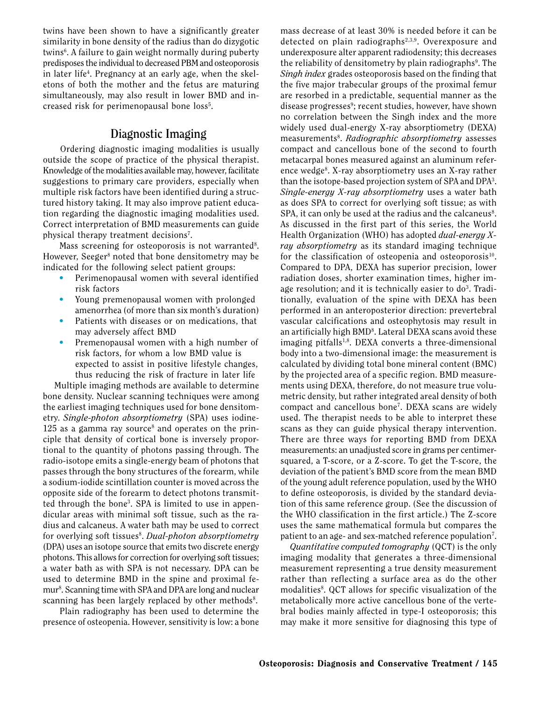twins have been shown to have a significantly greater similarity in bone density of the radius than do dizygotic twins<sup>6</sup>. A failure to gain weight normally during puberty predisposes the individual to decreased PBM and osteoporosis in later life4 . Pregnancy at an early age, when the skeletons of both the mother and the fetus are maturing simultaneously, may also result in lower BMD and increased risk for perimenopausal bone loss<sup>5</sup>.

## **Diagnostic Imaging**

 Ordering diagnostic imaging modalities is usually outside the scope of practice of the physical therapist. Knowledge of the modalities available may, however, facilitate suggestions to primary care providers, especially when multiple risk factors have been identified during a structured history taking. It may also improve patient education regarding the diagnostic imaging modalities used. Correct interpretation of BMD measurements can guide physical therapy treatment decisions<sup>7</sup>.

Mass screening for osteoporosis is not warranted<sup>8</sup>. However, Seeger<sup>8</sup> noted that bone densitometry may be indicated for the following select patient groups:

- Perimenopausal women with several identified risk factors
- Young premenopausal women with prolonged amenorrhea (of more than six month's duration)
- Patients with diseases or on medications, that may adversely affect BMD
- Premenopausal women with a high number of risk factors, for whom a low BMD value is expected to assist in positive lifestyle changes, thus reducing the risk of fracture in later life

 Multiple imaging methods are available to determine bone density. Nuclear scanning techniques were among the earliest imaging techniques used for bone densitometry. *Single-photon absorptiometry* (SPA) uses iodine- $125$  as a gamma ray source<sup>8</sup> and operates on the principle that density of cortical bone is inversely proportional to the quantity of photons passing through. The radio-isotope emits a single-energy beam of photons that passes through the bony structures of the forearm, while a sodium-iodide scintillation counter is moved across the opposite side of the forearm to detect photons transmitted through the bone3 . SPA is limited to use in appendicular areas with minimal soft tissue, such as the radius and calcaneus. A water bath may be used to correct for overlying soft tissues<sup>8</sup>. *Dual-photon absorptiometry* (DPA) uses an isotope source that emits two discrete energy photons. This allows for correction for overlying soft tissues; a water bath as with SPA is not necessary. DPA can be used to determine BMD in the spine and proximal femur8 . Scanning time with SPA and DPA are long and nuclear scanning has been largely replaced by other methods<sup>8</sup>.

 Plain radiography has been used to determine the presence of osteopenia. However, sensitivity is low: a bone

mass decrease of at least 30% is needed before it can be detected on plain radiographs<sup>2,3,9</sup>. Overexposure and underexposure alter apparent radiodensity; this decreases the reliability of densitometry by plain radiographs<sup>9</sup>. The *Singh index* grades osteoporosis based on the finding that the five major trabecular groups of the proximal femur are resorbed in a predictable, sequential manner as the disease progresses<sup>9</sup>; recent studies, however, have shown no correlation between the Singh index and the more widely used dual-energy X-ray absorptiometry (DEXA) measurements8 . *Radiographic absorptiometry* assesses compact and cancellous bone of the second to fourth metacarpal bones measured against an aluminum reference wedge<sup>8</sup>. X-ray absorptiometry uses an X-ray rather than the isotope-based projection system of SPA and DPA3 . *Single-energy X-ray absorptiometry* uses a water bath as does SPA to correct for overlying soft tissue; as with SPA, it can only be used at the radius and the calcaneus $8$ . As discussed in the first part of this series, the World Health Organization (WHO) has adopted *dual-energy Xray absorptiometry* as its standard imaging technique for the classification of osteopenia and osteoporosis $10$ . Compared to DPA, DEXA has superior precision, lower radiation doses, shorter examination times, higher image resolution; and it is technically easier to do<sup>3</sup>. Traditionally, evaluation of the spine with DEXA has been performed in an anteroposterior direction: prevertebral vascular calcifications and osteophytosis may result in an artificially high BMD<sup>8</sup>. Lateral DEXA scans avoid these imaging pitfalls<sup>1,8</sup>. DEXA converts a three-dimensional body into a two-dimensional image: the measurement is calculated by dividing total bone mineral content (BMC) by the projected area of a specific region. BMD measurements using DEXA, therefore, do not measure true volumetric density, but rather integrated areal density of both compact and cancellous bone7 . DEXA scans are widely used. The therapist needs to be able to interpret these scans as they can guide physical therapy intervention. There are three ways for reporting BMD from DEXA measurements: an unadjusted score in grams per centimersquared, a T-score, or a Z-score. To get the T-score, the deviation of the patient's BMD score from the mean BMD of the young adult reference population, used by the WHO to define osteoporosis, is divided by the standard deviation of this same reference group. (See the discussion of the WHO classification in the first article.) The Z-score uses the same mathematical formula but compares the patient to an age- and sex-matched reference population<sup>7</sup>.

 *Quantitative computed tomography* (QCT) is the only imaging modality that generates a three-dimensional measurement representing a true density measurement rather than reflecting a surface area as do the other modalities<sup>8</sup>. QCT allows for specific visualization of the metabolically more active cancellous bone of the vertebral bodies mainly affected in type-I osteoporosis; this may make it more sensitive for diagnosing this type of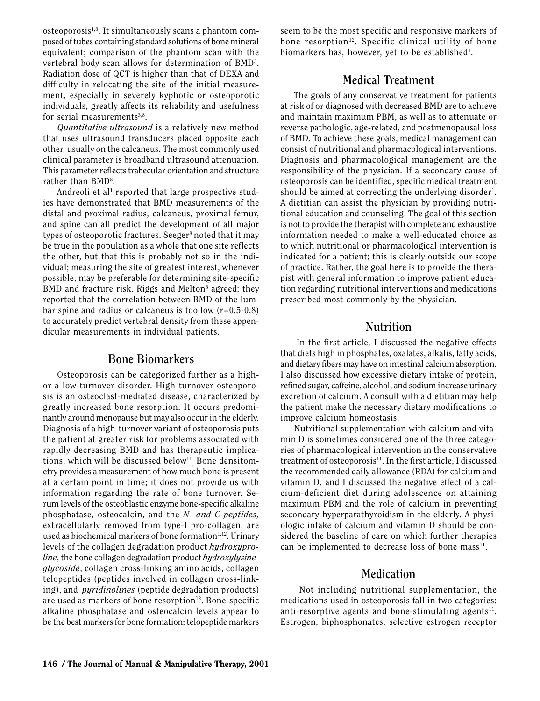osteoporosis<sup>1,8</sup>. It simultaneously scans a phantom composed of tubes containing standard solutions of bone mineral equivalent; comparison of the phantom scan with the vertebral body scan allows for determination of BMD3 . Radiation dose of QCT is higher than that of DEXA and difficulty in relocating the site of the initial measurement, especially in severely kyphotic or osteoporotic individuals, greatly affects its reliability and usefulness for serial measurements<sup>3,8</sup>.

 *Quantitative ultrasound* is a relatively new method that uses ultrasound transducers placed opposite each other, usually on the calcaneus. The most commonly used clinical parameter is broadband ultrasound attenuation. This parameter reflects trabecular orientation and structure rather than BMD<sup>8</sup>.

Andreoli et al<sup>1</sup> reported that large prospective studies have demonstrated that BMD measurements of the distal and proximal radius, calcaneus, proximal femur, and spine can all predict the development of all major types of osteoporotic fractures. Seeger<sup>8</sup> noted that it may be true in the population as a whole that one site reflects the other, but that this is probably not so in the individual; measuring the site of greatest interest, whenever possible, may be preferable for determining site-specific  ${\rm BMD}$  and fracture risk. Riggs and Melton $^6$  agreed; they reported that the correlation between BMD of the lumbar spine and radius or calcaneus is too low  $(r=0.5-0.8)$ to accurately predict vertebral density from these appendicular measurements in individual patients.

#### **Bone Biomarkers**

 Osteoporosis can be categorized further as a highor a low-turnover disorder. High-turnover osteoporosis is an osteoclast-mediated disease, characterized by greatly increased bone resorption. It occurs predominantly around menopause but may also occur in the elderly. Diagnosis of a high-turnover variant of osteoporosis puts the patient at greater risk for problems associated with rapidly decreasing BMD and has therapeutic implications, which will be discussed below $\frac{11}{1}$  Bone densitometry provides a measurement of how much bone is present at a certain point in time; it does not provide us with information regarding the rate of bone turnover. Serum levels of the osteoblastic enzyme bone-specific alkaline phosphatase, osteocalcin, and the *N- and C-peptides,* extracellularly removed from type-I pro-collagen, are used as biochemical markers of bone formation<sup>1,12</sup>. Urinary levels of the collagen degradation product *hydroxyproline*, the bone collagen degradation product *hydroxylysineglycoside*, collagen cross-linking amino acids, collagen telopeptides (peptides involved in collagen cross-linking), and *pyridinolines* (peptide degradation products) are used as markers of bone resorption<sup>12</sup>. Bone-specific alkaline phosphatase and osteocalcin levels appear to be the best markers for bone formation; telopeptide markers

seem to be the most specific and responsive markers of bone resorption<sup>12</sup>. Specific clinical utility of bone biomarkers has, however, yet to be established<sup>1</sup>.

### **Medical Treatment**

 The goals of any conservative treatment for patients at risk of or diagnosed with decreased BMD are to achieve and maintain maximum PBM, as well as to attenuate or reverse pathologic, age-related, and postmenopausal loss of BMD. To achieve these goals, medical management can consist of nutritional and pharmacological interventions. Diagnosis and pharmacological management are the responsibility of the physician. If a secondary cause of osteoporosis can be identified, specific medical treatment should be aimed at correcting the underlying disorder<sup>1</sup>. A dietitian can assist the physician by providing nutritional education and counseling. The goal of this section is not to provide the therapist with complete and exhaustive information needed to make a well-educated choice as to which nutritional or pharmacological intervention is indicated for a patient; this is clearly outside our scope of practice. Rather, the goal here is to provide the therapist with general information to improve patient education regarding nutritional interventions and medications prescribed most commonly by the physician.

### **Nutrition**

 In the first article, I discussed the negative effects that diets high in phosphates, oxalates, alkalis, fatty acids, and dietary fibers may have on intestinal calcium absorption. I also discussed how excessive dietary intake of protein, refined sugar, caffeine, alcohol, and sodium increase urinary excretion of calcium. A consult with a dietitian may help the patient make the necessary dietary modifications to improve calcium homeostasis.

 Nutritional supplementation with calcium and vitamin D is sometimes considered one of the three categories of pharmacological intervention in the conservative treatment of osteoporosis<sup>11</sup>. In the first article, I discussed the recommended daily allowance (RDA) for calcium and vitamin D, and I discussed the negative effect of a calcium-deficient diet during adolescence on attaining maximum PBM and the role of calcium in preventing secondary hyperparathyroidism in the elderly. A physiologic intake of calcium and vitamin D should be considered the baseline of care on which further therapies can be implemented to decrease loss of bone mass $^{11}$ .

### **Medication**

 Not including nutritional supplementation, the medications used in osteoporosis fall in two categories: anti-resorptive agents and bone-stimulating agents $11$ . Estrogen, biphosphonates, selective estrogen receptor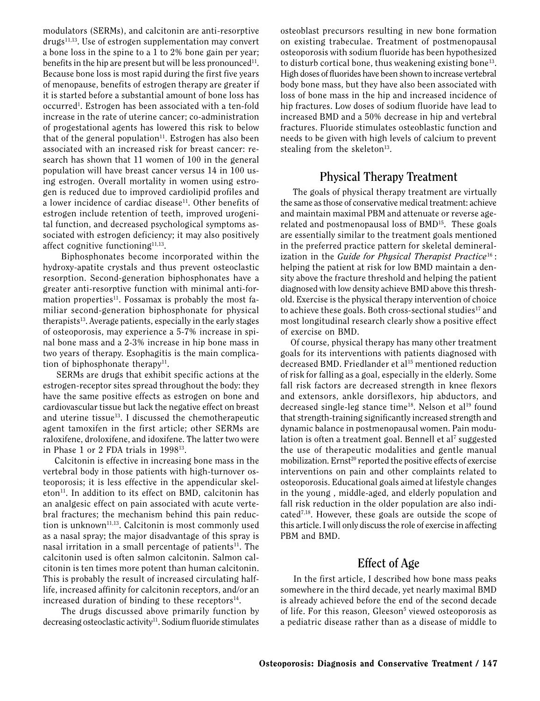modulators (SERMs), and calcitonin are anti-resorptive  $drugs<sup>11,13</sup>$ . Use of estrogen supplementation may convert a bone loss in the spine to a 1 to 2% bone gain per year; benefits in the hip are present but will be less pronounced<sup>11</sup>. Because bone loss is most rapid during the first five years of menopause, benefits of estrogen therapy are greater if it is started before a substantial amount of bone loss has occurred1 . Estrogen has been associated with a ten-fold increase in the rate of uterine cancer; co-administration of progestational agents has lowered this risk to below that of the general population $11$ . Estrogen has also been associated with an increased risk for breast cancer: research has shown that 11 women of 100 in the general population will have breast cancer versus 14 in 100 using estrogen. Overall mortality in women using estrogen is reduced due to improved cardiolipid profiles and a lower incidence of cardiac disease<sup>11</sup>. Other benefits of estrogen include retention of teeth, improved urogenital function, and decreased psychological symptoms associated with estrogen deficiency; it may also positively affect cognitive functioning<sup>11,13</sup>.

 Biphosphonates become incorporated within the hydroxy-apatite crystals and thus prevent osteoclastic resorption. Second-generation biphosphonates have a greater anti-resorptive function with minimal anti-formation properties<sup>11</sup>. Fossamax is probably the most familiar second-generation biphosphonate for physical therapists<sup>13</sup>. Average patients, especially in the early stages of osteoporosis, may experience a 5-7% increase in spinal bone mass and a 2-3% increase in hip bone mass in two years of therapy. Esophagitis is the main complication of biphosphonate therapy<sup>11</sup>.

 SERMs are drugs that exhibit specific actions at the estrogen-receptor sites spread throughout the body: they have the same positive effects as estrogen on bone and cardiovascular tissue but lack the negative effect on breast and uterine tissue<sup>13</sup>. I discussed the chemotherapeutic agent tamoxifen in the first article; other SERMs are raloxifene, droloxifene, and idoxifene. The latter two were in Phase 1 or 2 FDA trials in 199813.

 Calcitonin is effective in increasing bone mass in the vertebral body in those patients with high-turnover osteoporosis; it is less effective in the appendicular skeleton<sup>11</sup>. In addition to its effect on BMD, calcitonin has an analgesic effect on pain associated with acute vertebral fractures; the mechanism behind this pain reduction is unknown<sup>11,13</sup>. Calcitonin is most commonly used as a nasal spray; the major disadvantage of this spray is nasal irritation in a small percentage of patients<sup>11</sup>. The calcitonin used is often salmon calcitonin. Salmon calcitonin is ten times more potent than human calcitonin. This is probably the result of increased circulating halflife, increased affinity for calcitonin receptors, and/or an increased duration of binding to these receptors $<sup>14</sup>$ .</sup>

 The drugs discussed above primarily function by decreasing osteoclastic activity<sup>11</sup>. Sodium fluoride stimulates

osteoblast precursors resulting in new bone formation on existing trabeculae. Treatment of postmenopausal osteoporosis with sodium fluoride has been hypothesized to disturb cortical bone, thus weakening existing bone13. High doses of fluorides have been shown to increase vertebral body bone mass, but they have also been associated with loss of bone mass in the hip and increased incidence of hip fractures. Low doses of sodium fluoride have lead to increased BMD and a 50% decrease in hip and vertebral fractures. Fluoride stimulates osteoblastic function and needs to be given with high levels of calcium to prevent stealing from the skeleton $13$ .

### **Physical Therapy Treatment**

 The goals of physical therapy treatment are virtually the same as those of conservative medical treatment: achieve and maintain maximal PBM and attenuate or reverse agerelated and postmenopausal loss of BMD15. These goals are essentially similar to the treatment goals mentioned in the preferred practice pattern for skeletal demineralization in the *Guide for Physical Therapist Practice*16 : helping the patient at risk for low BMD maintain a density above the fracture threshold and helping the patient diagnosed with low density achieve BMD above this threshold. Exercise is the physical therapy intervention of choice to achieve these goals. Both cross-sectional studies<sup>17</sup> and most longitudinal research clearly show a positive effect of exercise on BMD.

 Of course, physical therapy has many other treatment goals for its interventions with patients diagnosed with decreased BMD. Friedlander et al<sup>15</sup> mentioned reduction of risk for falling as a goal, especially in the elderly. Some fall risk factors are decreased strength in knee flexors and extensors, ankle dorsiflexors, hip abductors, and decreased single-leg stance time<sup>18</sup>. Nelson et al<sup>19</sup> found that strength-training significantly increased strength and dynamic balance in postmenopausal women. Pain modulation is often a treatment goal. Bennell et al<sup>7</sup> suggested the use of therapeutic modalities and gentle manual mobilization. Ernst<sup>20</sup> reported the positive effects of exercise interventions on pain and other complaints related to osteoporosis. Educational goals aimed at lifestyle changes in the young , middle-aged, and elderly population and fall risk reduction in the older population are also indicated7,18. However, these goals are outside the scope of this article. I will only discuss the role of exercise in affecting PBM and BMD.

### **Effect of Age**

 In the first article, I described how bone mass peaks somewhere in the third decade, yet nearly maximal BMD is already achieved before the end of the second decade of life. For this reason, Gleeson<sup>5</sup> viewed osteoporosis as a pediatric disease rather than as a disease of middle to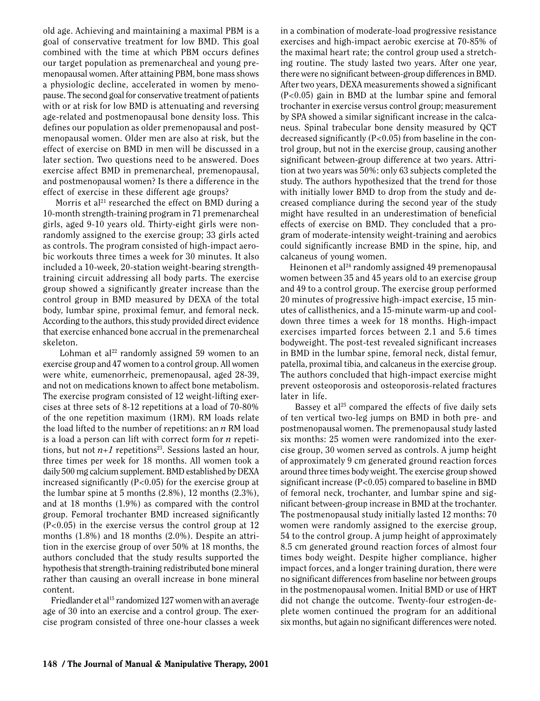old age. Achieving and maintaining a maximal PBM is a goal of conservative treatment for low BMD. This goal combined with the time at which PBM occurs defines our target population as premenarcheal and young premenopausal women. After attaining PBM, bone mass shows a physiologic decline, accelerated in women by menopause. The second goal for conservative treatment of patients with or at risk for low BMD is attenuating and reversing age-related and postmenopausal bone density loss. This defines our population as older premenopausal and postmenopausal women. Older men are also at risk, but the effect of exercise on BMD in men will be discussed in a later section. Two questions need to be answered. Does exercise affect BMD in premenarcheal, premenopausal, and postmenopausal women? Is there a difference in the effect of exercise in these different age groups?

Morris et al<sup>21</sup> researched the effect on BMD during a 10-month strength-training program in 71 premenarcheal girls, aged 9-10 years old. Thirty-eight girls were nonrandomly assigned to the exercise group; 33 girls acted as controls. The program consisted of high-impact aerobic workouts three times a week for 30 minutes. It also included a 10-week, 20-station weight-bearing strengthtraining circuit addressing all body parts. The exercise group showed a significantly greater increase than the control group in BMD measured by DEXA of the total body, lumbar spine, proximal femur, and femoral neck. According to the authors, this study provided direct evidence that exercise enhanced bone accrual in the premenarcheal skeleton.

Lohman et al<sup>22</sup> randomly assigned 59 women to an exercise group and 47 women to a control group. All women were white, eumenorrheic, premenopausal, aged 28-39, and not on medications known to affect bone metabolism. The exercise program consisted of 12 weight-lifting exercises at three sets of 8-12 repetitions at a load of 70-80% of the one repetition maximum (1RM). RM loads relate the load lifted to the number of repetitions: an *n* RM load is a load a person can lift with correct form for *n* repetitions, but not  $n+1$  repetitions<sup>23</sup>. Sessions lasted an hour, three times per week for 18 months. All women took a daily 500 mg calcium supplement. BMD established by DEXA increased significantly (P<0.05) for the exercise group at the lumbar spine at 5 months (2.8%), 12 months (2.3%), and at 18 months (1.9%) as compared with the control group. Femoral trochanter BMD increased significantly (P<0.05) in the exercise versus the control group at 12 months (1.8%) and 18 months (2.0%). Despite an attrition in the exercise group of over 50% at 18 months, the authors concluded that the study results supported the hypothesis that strength-training redistributed bone mineral rather than causing an overall increase in bone mineral content.

Friedlander et al<sup>15</sup> randomized 127 women with an average age of 30 into an exercise and a control group. The exercise program consisted of three one-hour classes a week

in a combination of moderate-load progressive resistance exercises and high-impact aerobic exercise at 70-85% of the maximal heart rate; the control group used a stretching routine. The study lasted two years. After one year, there were no significant between-group differences in BMD. After two years, DEXA measurements showed a significant (P<0.05) gain in BMD at the lumbar spine and femoral trochanter in exercise versus control group; measurement by SPA showed a similar significant increase in the calcaneus. Spinal trabecular bone density measured by QCT decreased significantly (P<0.05) from baseline in the control group, but not in the exercise group, causing another significant between-group difference at two years. Attrition at two years was 50%: only 63 subjects completed the study. The authors hypothesized that the trend for those with initially lower BMD to drop from the study and decreased compliance during the second year of the study might have resulted in an underestimation of beneficial effects of exercise on BMD. They concluded that a program of moderate-intensity weight-training and aerobics could significantly increase BMD in the spine, hip, and calcaneus of young women.

Heinonen et al<sup>24</sup> randomly assigned 49 premenopausal women between 35 and 45 years old to an exercise group and 49 to a control group. The exercise group performed 20 minutes of progressive high-impact exercise, 15 minutes of callisthenics, and a 15-minute warm-up and cooldown three times a week for 18 months. High-impact exercises imparted forces between 2.1 and 5.6 times bodyweight. The post-test revealed significant increases in BMD in the lumbar spine, femoral neck, distal femur, patella, proximal tibia, and calcaneus in the exercise group. The authors concluded that high-impact exercise might prevent osteoporosis and osteoporosis-related fractures later in life.

Bassey et al<sup>25</sup> compared the effects of five daily sets of ten vertical two-leg jumps on BMD in both pre- and postmenopausal women. The premenopausal study lasted six months: 25 women were randomized into the exercise group, 30 women served as controls. A jump height of approximately 9 cm generated ground reaction forces around three times body weight. The exercise group showed significant increase (P<0.05) compared to baseline in BMD of femoral neck, trochanter, and lumbar spine and significant between-group increase in BMD at the trochanter. The postmenopausal study initially lasted 12 months: 70 women were randomly assigned to the exercise group, 54 to the control group. A jump height of approximately 8.5 cm generated ground reaction forces of almost four times body weight. Despite higher compliance, higher impact forces, and a longer training duration, there were no significant differences from baseline nor between groups in the postmenopausal women. Initial BMD or use of HRT did not change the outcome. Twenty-four estrogen-deplete women continued the program for an additional six months, but again no significant differences were noted.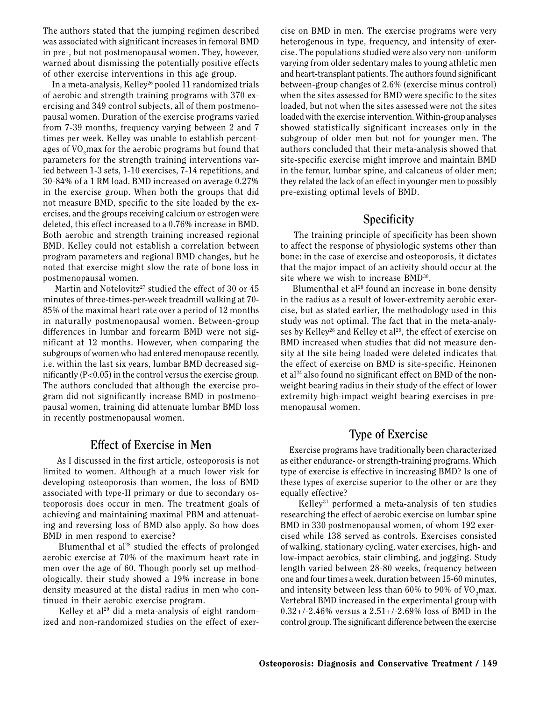The authors stated that the jumping regimen described was associated with significant increases in femoral BMD in pre-, but not postmenopausal women. They, however, warned about dismissing the potentially positive effects of other exercise interventions in this age group.

In a meta-analysis, Kelley<sup>26</sup> pooled 11 randomized trials of aerobic and strength training programs with 370 exercising and 349 control subjects, all of them postmenopausal women. Duration of the exercise programs varied from 7-39 months, frequency varying between 2 and 7 times per week. Kelley was unable to establish percentages of VO $_2$ max for the aerobic programs but found that parameters for the strength training interventions varied between 1-3 sets, 1-10 exercises, 7-14 repetitions, and 30-84% of a 1 RM load. BMD increased on average 0.27% in the exercise group. When both the groups that did not measure BMD, specific to the site loaded by the exercises, and the groups receiving calcium or estrogen were deleted, this effect increased to a 0.76% increase in BMD. Both aerobic and strength training increased regional BMD. Kelley could not establish a correlation between program parameters and regional BMD changes, but he noted that exercise might slow the rate of bone loss in postmenopausal women.

Martin and Notelovitz<sup>27</sup> studied the effect of 30 or 45 minutes of three-times-per-week treadmill walking at 70- 85% of the maximal heart rate over a period of 12 months in naturally postmenopausal women. Between-group differences in lumbar and forearm BMD were not significant at 12 months. However, when comparing the subgroups of women who had entered menopause recently, i.e. within the last six years, lumbar BMD decreased significantly (P<0.05) in the control versus the exercise group. The authors concluded that although the exercise program did not significantly increase BMD in postmenopausal women, training did attenuate lumbar BMD loss in recently postmenopausal women.

### **Effect of Exercise in Men**

 As I discussed in the first article, osteoporosis is not limited to women. Although at a much lower risk for developing osteoporosis than women, the loss of BMD associated with type-II primary or due to secondary osteoporosis does occur in men. The treatment goals of achieving and maintaining maximal PBM and attenuating and reversing loss of BMD also apply. So how does BMD in men respond to exercise?

Blumenthal et al<sup>28</sup> studied the effects of prolonged aerobic exercise at 70% of the maximum heart rate in men over the age of 60. Though poorly set up methodologically, their study showed a 19% increase in bone density measured at the distal radius in men who continued in their aerobic exercise program.

Kelley et al<sup>29</sup> did a meta-analysis of eight randomized and non-randomized studies on the effect of exercise on BMD in men. The exercise programs were very heterogenous in type, frequency, and intensity of exercise. The populations studied were also very non-uniform varying from older sedentary males to young athletic men and heart-transplant patients. The authors found significant between-group changes of 2.6% (exercise minus control) when the sites assessed for BMD were specific to the sites loaded, but not when the sites assessed were not the sites loaded with the exercise intervention. Within-group analyses showed statistically significant increases only in the subgroup of older men but not for younger men. The authors concluded that their meta-analysis showed that site-specific exercise might improve and maintain BMD in the femur, lumbar spine, and calcaneus of older men; they related the lack of an effect in younger men to possibly pre-existing optimal levels of BMD.

### **Specificity**

 The training principle of specificity has been shown to affect the response of physiologic systems other than bone: in the case of exercise and osteoporosis, it dictates that the major impact of an activity should occur at the site where we wish to increase BMD<sup>30</sup>.

Blumenthal et al<sup>28</sup> found an increase in bone density in the radius as a result of lower-extremity aerobic exercise, but as stated earlier, the methodology used in this study was not optimal. The fact that in the meta-analyses by Kelley<sup>26</sup> and Kelley et al<sup>29</sup>, the effect of exercise on BMD increased when studies that did not measure density at the site being loaded were deleted indicates that the effect of exercise on BMD is site-specific. Heinonen et al<sup>24</sup> also found no significant effect on BMD of the nonweight bearing radius in their study of the effect of lower extremity high-impact weight bearing exercises in premenopausal women.

# **Type of Exercise**

 Exercise programs have traditionally been characterized as either endurance- or strength-training programs. Which type of exercise is effective in increasing BMD? Is one of these types of exercise superior to the other or are they equally effective?

 Kelley31 performed a meta-analysis of ten studies researching the effect of aerobic exercise on lumbar spine BMD in 330 postmenopausal women, of whom 192 exercised while 138 served as controls. Exercises consisted of walking, stationary cycling, water exercises, high- and low-impact aerobics, stair climbing, and jogging. Study length varied between 28-80 weeks, frequency between one and four times a week, duration between 15-60 minutes, and intensity between less than  $60\%$  to  $90\%$  of VO $_2$ max. Vertebral BMD increased in the experimental group with 0.32+/-2.46% versus a 2.51+/-2.69% loss of BMD in the control group. The significant difference between the exercise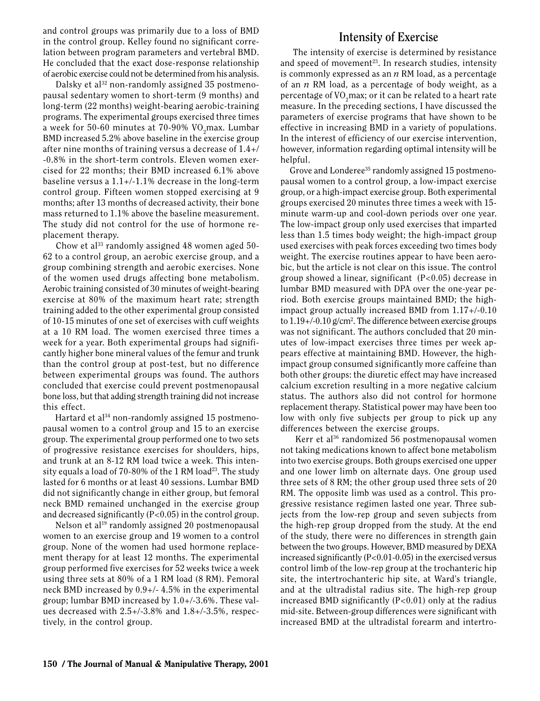and control groups was primarily due to a loss of BMD in the control group. Kelley found no significant correlation between program parameters and vertebral BMD. He concluded that the exact dose-response relationship of aerobic exercise could not be determined from his analysis.

Dalsky et al<sup>32</sup> non-randomly assigned 35 postmenopausal sedentary women to short-term (9 months) and long-term (22 months) weight-bearing aerobic-training programs. The experimental groups exercised three times a week for 50-60 minutes at 70-90% VO $_2$ max. Lumbar BMD increased 5.2% above baseline in the exercise group after nine months of training versus a decrease of 1.4+/ -0.8% in the short-term controls. Eleven women exercised for 22 months; their BMD increased 6.1% above baseline versus a 1.1+/-1.1% decrease in the long-term control group. Fifteen women stopped exercising at 9 months; after 13 months of decreased activity, their bone mass returned to 1.1% above the baseline measurement. The study did not control for the use of hormone replacement therapy.

Chow et al<sup>33</sup> randomly assigned 48 women aged  $50$ -62 to a control group, an aerobic exercise group, and a group combining strength and aerobic exercises. None of the women used drugs affecting bone metabolism. Aerobic training consisted of 30 minutes of weight-bearing exercise at 80% of the maximum heart rate; strength training added to the other experimental group consisted of 10-15 minutes of one set of exercises with cuff weights at a 10 RM load. The women exercised three times a week for a year. Both experimental groups had significantly higher bone mineral values of the femur and trunk than the control group at post-test, but no difference between experimental groups was found. The authors concluded that exercise could prevent postmenopausal bone loss, but that adding strength training did not increase this effect.

Hartard et al<sup>34</sup> non-randomly assigned 15 postmenopausal women to a control group and 15 to an exercise group. The experimental group performed one to two sets of progressive resistance exercises for shoulders, hips, and trunk at an 8-12 RM load twice a week. This intensity equals a load of 70-80% of the 1 RM load<sup>23</sup>. The study lasted for 6 months or at least 40 sessions. Lumbar BMD did not significantly change in either group, but femoral neck BMD remained unchanged in the exercise group and decreased significantly  $(P<0.05)$  in the control group.

Nelson et al<sup>19</sup> randomly assigned 20 postmenopausal women to an exercise group and 19 women to a control group. None of the women had used hormone replacement therapy for at least 12 months. The experimental group performed five exercises for 52 weeks twice a week using three sets at 80% of a 1 RM load (8 RM). Femoral neck BMD increased by 0.9+/- 4.5% in the experimental group; lumbar BMD increased by 1.0+/-3.6%. These values decreased with  $2.5+/3.8\%$  and  $1.8+/3.5\%$ , respectively, in the control group.

# **Intensity of Exercise**

 The intensity of exercise is determined by resistance and speed of movement<sup>23</sup>. In research studies, intensity is commonly expressed as an *n* RM load, as a percentage of an *n* RM load, as a percentage of body weight, as a percentage of VO<sub>2</sub>max; or it can be related to a heart rate measure. In the preceding sections, I have discussed the parameters of exercise programs that have shown to be effective in increasing BMD in a variety of populations. In the interest of efficiency of our exercise intervention, however, information regarding optimal intensity will be helpful.

Grove and Londeree<sup>35</sup> randomly assigned 15 postmenopausal women to a control group, a low-impact exercise group, or a high-impact exercise group. Both experimental groups exercised 20 minutes three times a week with 15 minute warm-up and cool-down periods over one year. The low-impact group only used exercises that imparted less than 1.5 times body weight; the high-impact group used exercises with peak forces exceeding two times body weight. The exercise routines appear to have been aerobic, but the article is not clear on this issue. The control group showed a linear, significant (P<0.05) decrease in lumbar BMD measured with DPA over the one-year period. Both exercise groups maintained BMD; the highimpact group actually increased BMD from 1.17+/-0.10 to 1.19+/-0.10 g/cm2 . The difference between exercise groups was not significant. The authors concluded that 20 minutes of low-impact exercises three times per week appears effective at maintaining BMD. However, the highimpact group consumed significantly more caffeine than both other groups: the diuretic effect may have increased calcium excretion resulting in a more negative calcium status. The authors also did not control for hormone replacement therapy. Statistical power may have been too low with only five subjects per group to pick up any differences between the exercise groups.

Kerr et al<sup>36</sup> randomized 56 postmenopausal women not taking medications known to affect bone metabolism into two exercise groups. Both groups exercised one upper and one lower limb on alternate days. One group used three sets of 8 RM; the other group used three sets of 20 RM. The opposite limb was used as a control. This progressive resistance regimen lasted one year. Three subjects from the low-rep group and seven subjects from the high-rep group dropped from the study. At the end of the study, there were no differences in strength gain between the two groups. However, BMD measured by DEXA increased significantly (P<0.01-0.05) in the exercised versus control limb of the low-rep group at the trochanteric hip site, the intertrochanteric hip site, at Ward's triangle, and at the ultradistal radius site. The high-rep group increased BMD significantly  $(P<0.01)$  only at the radius mid-site. Between-group differences were significant with increased BMD at the ultradistal forearm and intertro-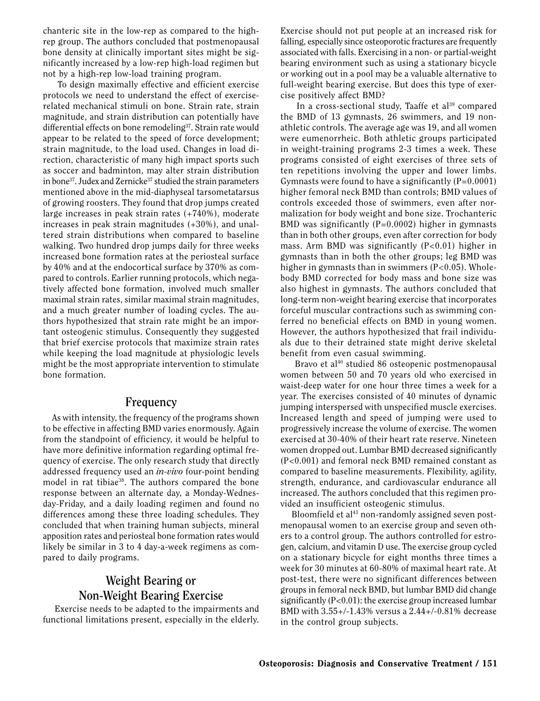chanteric site in the low-rep as compared to the highrep group. The authors concluded that postmenopausal bone density at clinically important sites might be significantly increased by a low-rep high-load regimen but not by a high-rep low-load training program.

 To design maximally effective and efficient exercise protocols we need to understand the effect of exerciserelated mechanical stimuli on bone. Strain rate, strain magnitude, and strain distribution can potentially have differential effects on bone remodeling<sup>37</sup>. Strain rate would appear to be related to the speed of force development; strain magnitude, to the load used. Changes in load direction, characteristic of many high impact sports such as soccer and badminton, may alter strain distribution in bone<sup>37</sup>. Judex and Zernicke<sup>37</sup> studied the strain parameters mentioned above in the mid-diaphyseal tarsometatarsus of growing roosters. They found that drop jumps created large increases in peak strain rates (+740%), moderate increases in peak strain magnitudes (+30%), and unaltered strain distributions when compared to baseline walking. Two hundred drop jumps daily for three weeks increased bone formation rates at the periosteal surface by 40% and at the endocortical surface by 370% as compared to controls. Earlier running protocols, which negatively affected bone formation, involved much smaller maximal strain rates, similar maximal strain magnitudes, and a much greater number of loading cycles. The authors hypothesized that strain rate might be an important osteogenic stimulus. Consequently they suggested that brief exercise protocols that maximize strain rates while keeping the load magnitude at physiologic levels might be the most appropriate intervention to stimulate bone formation.

#### **Frequency**

 As with intensity, the frequency of the programs shown to be effective in affecting BMD varies enormously. Again from the standpoint of efficiency, it would be helpful to have more definitive information regarding optimal frequency of exercise. The only research study that directly addressed frequency used an *in-vivo* four-point bending model in rat tibiae<sup>38</sup>. The authors compared the bone response between an alternate day, a Monday-Wednesday-Friday, and a daily loading regimen and found no differences among these three loading schedules. They concluded that when training human subjects, mineral apposition rates and periosteal bone formation rates would likely be similar in 3 to 4 day-a-week regimens as compared to daily programs.

# **Weight Bearing or Non-Weight Bearing Exercise**

 Exercise needs to be adapted to the impairments and functional limitations present, especially in the elderly. Exercise should not put people at an increased risk for falling, especially since osteoporotic fractures are frequently associated with falls. Exercising in a non- or partial-weight bearing environment such as using a stationary bicycle or working out in a pool may be a valuable alternative to full-weight bearing exercise. But does this type of exercise positively affect BMD?

In a cross-sectional study, Taaffe et al<sup>39</sup> compared the BMD of 13 gymnasts, 26 swimmers, and 19 nonathletic controls. The average age was 19, and all women were eumenorrheic. Both athletic groups participated in weight-training programs 2-3 times a week. These programs consisted of eight exercises of three sets of ten repetitions involving the upper and lower limbs. Gymnasts were found to have a significantly  $(P=0.0001)$ higher femoral neck BMD than controls; BMD values of controls exceeded those of swimmers, even after normalization for body weight and bone size. Trochanteric BMD was significantly  $(P=0.0002)$  higher in gymnasts than in both other groups, even after correction for body mass. Arm BMD was significantly  $(P<0.01)$  higher in gymnasts than in both the other groups; leg BMD was higher in gymnasts than in swimmers (P<0.05). Wholebody BMD corrected for body mass and bone size was also highest in gymnasts. The authors concluded that long-term non-weight bearing exercise that incorporates forceful muscular contractions such as swimming conferred no beneficial effects on BMD in young women. However, the authors hypothesized that frail individuals due to their detrained state might derive skeletal benefit from even casual swimming.

Bravo et al<sup>40</sup> studied 86 osteopenic postmenopausal women between 50 and 70 years old who exercised in waist-deep water for one hour three times a week for a year. The exercises consisted of 40 minutes of dynamic jumping interspersed with unspecified muscle exercises. Increased length and speed of jumping were used to progressively increase the volume of exercise. The women exercised at 30-40% of their heart rate reserve. Nineteen women dropped out. Lumbar BMD decreased significantly (P<0.001) and femoral neck BMD remained constant as compared to baseline measurements. Flexibility, agility, strength, endurance, and cardiovascular endurance all increased. The authors concluded that this regimen provided an insufficient osteogenic stimulus.

Bloomfield et al<sup>41</sup> non-randomly assigned seven postmenopausal women to an exercise group and seven others to a control group. The authors controlled for estrogen, calcium, and vitamin D use. The exercise group cycled on a stationary bicycle for eight months three times a week for 30 minutes at 60-80% of maximal heart rate. At post-test, there were no significant differences between groups in femoral neck BMD, but lumbar BMD did change significantly (P<0.01): the exercise group increased lumbar BMD with 3.55+/-1.43% versus a 2.44+/-0.81% decrease in the control group subjects.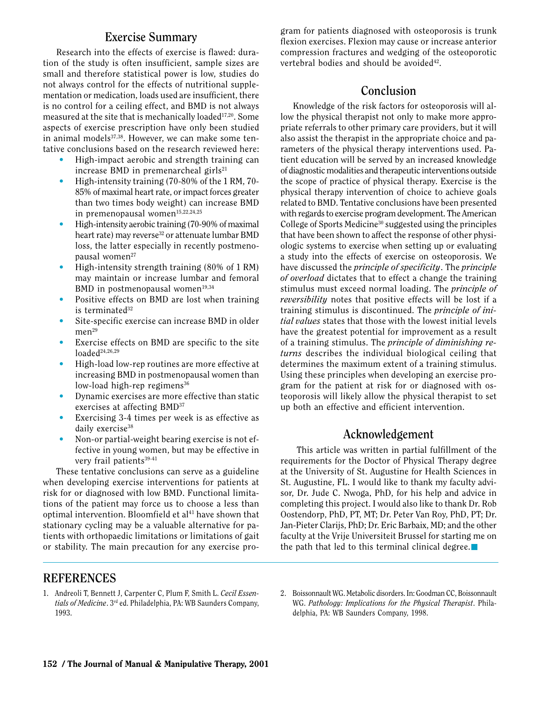### **Exercise Summary**

 Research into the effects of exercise is flawed: duration of the study is often insufficient, sample sizes are small and therefore statistical power is low, studies do not always control for the effects of nutritional supplementation or medication, loads used are insufficient, there is no control for a ceiling effect, and BMD is not always measured at the site that is mechanically loaded<sup>17,20</sup>. Some aspects of exercise prescription have only been studied in animal models<sup>37,38</sup>. However, we can make some tentative conclusions based on the research reviewed here:

- High-impact aerobic and strength training can increase BMD in premenarcheal girls<sup>21</sup>
- High-intensity training (70-80% of the 1 RM, 70-85% of maximal heart rate, or impact forces greater than two times body weight) can increase BMD in premenopausal women<sup>15,22,24,25</sup>
- High-intensity aerobic training (70-90% of maximal heart rate) may reverse<sup>32</sup> or attenuate lumbar BMD loss, the latter especially in recently postmenopausal women<sup>27</sup>
- High-intensity strength training (80% of 1 RM) may maintain or increase lumbar and femoral BMD in postmenopausal women<sup>19,34</sup>
- Positive effects on BMD are lost when training is terminated<sup>32</sup>
- Site-specific exercise can increase BMD in older men<sup>29</sup>
- Exercise effects on BMD are specific to the site loaded<sup>24,26,29</sup>
- High-load low-rep routines are more effective at increasing BMD in postmenopausal women than low-load high-rep regimens<sup>36</sup>
- Dynamic exercises are more effective than static exercises at affecting BMD<sup>37</sup>
- Exercising 3-4 times per week is as effective as daily exercise<sup>38</sup>
- Non-or partial-weight bearing exercise is not effective in young women, but may be effective in very frail patients<sup>39-41</sup>

 These tentative conclusions can serve as a guideline when developing exercise interventions for patients at risk for or diagnosed with low BMD. Functional limitations of the patient may force us to choose a less than optimal intervention. Bloomfield et al<sup>41</sup> have shown that stationary cycling may be a valuable alternative for patients with orthopaedic limitations or limitations of gait or stability. The main precaution for any exercise pro-

gram for patients diagnosed with osteoporosis is trunk flexion exercises. Flexion may cause or increase anterior compression fractures and wedging of the osteoporotic vertebral bodies and should be avoided<sup>42</sup>.

### **Conclusion**

 Knowledge of the risk factors for osteoporosis will allow the physical therapist not only to make more appropriate referrals to other primary care providers, but it will also assist the therapist in the appropriate choice and parameters of the physical therapy interventions used. Patient education will be served by an increased knowledge of diagnostic modalities and therapeutic interventions outside the scope of practice of physical therapy. Exercise is the physical therapy intervention of choice to achieve goals related to BMD. Tentative conclusions have been presented with regards to exercise program development. The American College of Sports Medicine<sup>30</sup> suggested using the principles that have been shown to affect the response of other physiologic systems to exercise when setting up or evaluating a study into the effects of exercise on osteoporosis. We have discussed the *principle of specificity*. The *principle of overload* dictates that to effect a change the training stimulus must exceed normal loading. The *principle of reversibility* notes that positive effects will be lost if a training stimulus is discontinued. The *principle of initial values* states that those with the lowest initial levels have the greatest potential for improvement as a result of a training stimulus. The *principle of diminishing returns* describes the individual biological ceiling that determines the maximum extent of a training stimulus. Using these principles when developing an exercise program for the patient at risk for or diagnosed with osteoporosis will likely allow the physical therapist to set up both an effective and efficient intervention.

# **Acknowledgement**

This article was written in partial fulfillment of the requirements for the Doctor of Physical Therapy degree at the University of St. Augustine for Health Sciences in St. Augustine, FL. I would like to thank my faculty advisor, Dr. Jude C. Nwoga, PhD, for his help and advice in completing this project. I would also like to thank Dr. Rob Oostendorp, PhD, PT, MT; Dr. Peter Van Roy, PhD, PT; Dr. Jan-Pieter Clarijs, PhD; Dr. Eric Barbaix, MD; and the other faculty at the Vrije Universiteit Brussel for starting me on the path that led to this terminal clinical degree. $\blacksquare$ 

### **REFERENCES**

- 1. Andreoli T, Bennett J, Carpenter C, Plum F, Smith L. *Cecil Essentials of Medicine*. 3rd ed. Philadelphia, PA: WB Saunders Company, 1993.
- 2. Boissonnault WG. Metabolic disorders. In: Goodman CC, Boissonnault WG. *Pathology: Implications for the Physical Therapist*. Philadelphia, PA: WB Saunders Company, 1998.